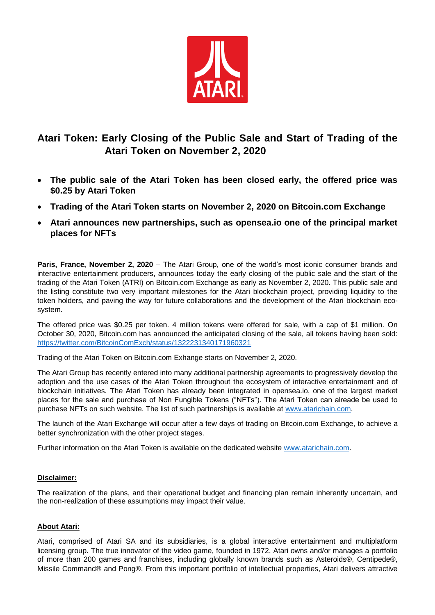

## **Atari Token: Early Closing of the Public Sale and Start of Trading of the Atari Token on November 2, 2020**

- **The public sale of the Atari Token has been closed early, the offered price was \$0.25 by Atari Token**
- **Trading of the Atari Token starts on November 2, 2020 on Bitcoin.com Exchange**
- **Atari announces new partnerships, such as opensea.io one of the principal market places for NFTs**

**Paris, France, November 2, 2020** – The Atari Group, one of the world's most iconic consumer brands and interactive entertainment producers, announces today the early closing of the public sale and the start of the trading of the Atari Token (ATRI) on Bitcoin.com Exchange as early as November 2, 2020. This public sale and the listing constitute two very important milestones for the Atari blockchain project, providing liquidity to the token holders, and paving the way for future collaborations and the development of the Atari blockchain ecosystem.

The offered price was \$0.25 per token. 4 million tokens were offered for sale, with a cap of \$1 million. On October 30, 2020, Bitcoin.com has announced the anticipated closing of the sale, all tokens having been sold: <https://twitter.com/BitcoinComExch/status/1322231340171960321>

Trading of the Atari Token on Bitcoin.com Exhange starts on November 2, 2020.

The Atari Group has recently entered into many additional partnership agreements to progressively develop the adoption and the use cases of the Atari Token throughout the ecosystem of interactive entertainment and of blockchain initiatives. The Atari Token has already been integrated in opensea.io, one of the largest market places for the sale and purchase of Non Fungible Tokens ("NFTs"). The Atari Token can alreade be used to purchase NFTs on such website. The list of such partnerships is available at [www.atarichain.com.](http://www.atarichain.com/)

The launch of the Atari Exchange will occur after a few days of trading on Bitcoin.com Exchange, to achieve a better synchronization with the other project stages.

Further information on the Atari Token is available on the dedicated website [www.atarichain.com.](http://www.atarichain.com/)

## **Disclaimer:**

The realization of the plans, and their operational budget and financing plan remain inherently uncertain, and the non-realization of these assumptions may impact their value.

## **About Atari:**

Atari, comprised of Atari SA and its subsidiaries, is a global interactive entertainment and multiplatform licensing group. The true innovator of the video game, founded in 1972, Atari owns and/or manages a portfolio of more than 200 games and franchises, including globally known brands such as Asteroids®, Centipede®, Missile Command® and Pong®. From this important portfolio of intellectual properties, Atari delivers attractive